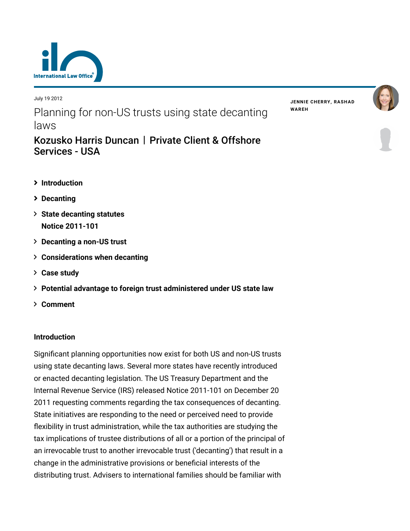

July 19 2012 Planning for non-US trusts using state decanting

**JENNIE [CHERRY](https://www.lexology.com/23364/author/Jennie_Cherry/)[,](https://www.lexology.com/23364/author/Rashad_Wareh/) RASHAD WAREH**



# Services - USA

laws

- **[Introduction](#page-0-0)**
- **[Decanting](#page-1-0)**
- **[State decanting statutes](#page-1-1) Notice 2011-101**
- **[Decanting a non-US trust](#page-2-0)**
- **[Considerations when decanting](#page-2-1)**
- **[Case study](#page-7-0)**
- **[Potential advantage to foreign trust administered under US state law](#page-7-1)**

[Kozusko Harris Duncan](https://www.lexology.com/contributors/23364) | Private Client & Offshore

**[Comment](#page-8-0)**

# <span id="page-0-0"></span>**Introduction**

Significant planning opportunities now exist for both US and non-US trusts using state decanting laws. Several more states have recently introduced or enacted decanting legislation. The US Treasury Department and the Internal Revenue Service (IRS) released Notice 2011-101 on December 20 2011 requesting comments regarding the tax consequences of decanting. State initiatives are responding to the need or perceived need to provide flexibility in trust administration, while the tax authorities are studying the tax implications of trustee distributions of all or a portion of the principal of an irrevocable trust to another irrevocable trust ('decanting') that result in a change in the administrative provisions or beneficial interests of the distributing trust. Advisers to international families should be familiar with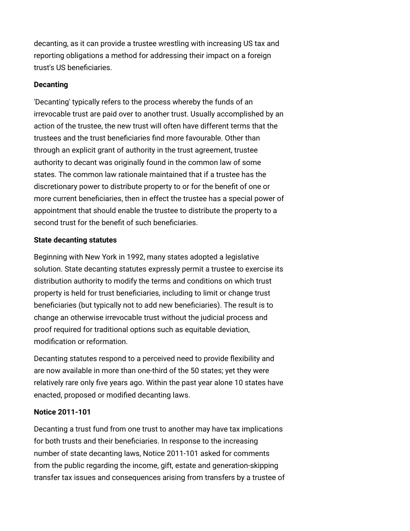decanting, as it can provide a trustee wrestling with increasing US tax and reporting obligations a method for addressing their impact on a foreign trust's US beneficiaries.

## <span id="page-1-0"></span>**Decanting**

'Decanting' typically refers to the process whereby the funds of an irrevocable trust are paid over to another trust. Usually accomplished by an action of the trustee, the new trust will often have different terms that the trustees and the trust beneficiaries find more favourable. Other than through an explicit grant of authority in the trust agreement, trustee authority to decant was originally found in the common law of some states. The common law rationale maintained that if a trustee has the discretionary power to distribute property to or for the benefit of one or more current beneficiaries, then in effect the trustee has a special power of appointment that should enable the trustee to distribute the property to a second trust for the benefit of such beneficiaries.

## <span id="page-1-1"></span>**State decanting statutes**

Beginning with New York in 1992, many states adopted a legislative solution. State decanting statutes expressly permit a trustee to exercise its distribution authority to modify the terms and conditions on which trust property is held for trust beneficiaries, including to limit or change trust beneficiaries (but typically not to add new beneficiaries). The result is to change an otherwise irrevocable trust without the judicial process and proof required for traditional options such as equitable deviation, modification or reformation.

Decanting statutes respond to a perceived need to provide flexibility and are now available in more than one-third of the 50 states; yet they were relatively rare only five years ago. Within the past year alone 10 states have enacted, proposed or modified decanting laws.

# **Notice 2011-101**

Decanting a trust fund from one trust to another may have tax implications for both trusts and their beneficiaries. In response to the increasing number of state decanting laws, Notice 2011-101 asked for comments from the public regarding the income, gift, estate and generation-skipping transfer tax issues and consequences arising from transfers by a trustee of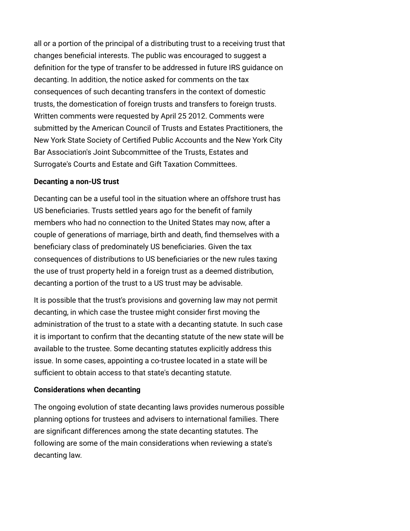all or a portion of the principal of a distributing trust to a receiving trust that changes beneficial interests. The public was encouraged to suggest a definition for the type of transfer to be addressed in future IRS guidance on decanting. In addition, the notice asked for comments on the tax consequences of such decanting transfers in the context of domestic trusts, the domestication of foreign trusts and transfers to foreign trusts. Written comments were requested by April 25 2012. Comments were submitted by the American Council of Trusts and Estates Practitioners, the New York State Society of Certified Public Accounts and the New York City Bar Association's Joint Subcommittee of the Trusts, Estates and Surrogate's Courts and Estate and Gift Taxation Committees.

## <span id="page-2-0"></span>**Decanting a non-US trust**

Decanting can be a useful tool in the situation where an offshore trust has US beneficiaries. Trusts settled years ago for the benefit of family members who had no connection to the United States may now, after a couple of generations of marriage, birth and death, find themselves with a beneficiary class of predominately US beneficiaries. Given the tax consequences of distributions to US beneficiaries or the new rules taxing the use of trust property held in a foreign trust as a deemed distribution, decanting a portion of the trust to a US trust may be advisable.

It is possible that the trust's provisions and governing law may not permit decanting, in which case the trustee might consider first moving the administration of the trust to a state with a decanting statute. In such case it is important to confirm that the decanting statute of the new state will be available to the trustee. Some decanting statutes explicitly address this issue. In some cases, appointing a co-trustee located in a state will be sufficient to obtain access to that state's decanting statute.

# <span id="page-2-1"></span>**Considerations when decanting**

The ongoing evolution of state decanting laws provides numerous possible planning options for trustees and advisers to international families. There are significant differences among the state decanting statutes. The following are some of the main considerations when reviewing a state's decanting law.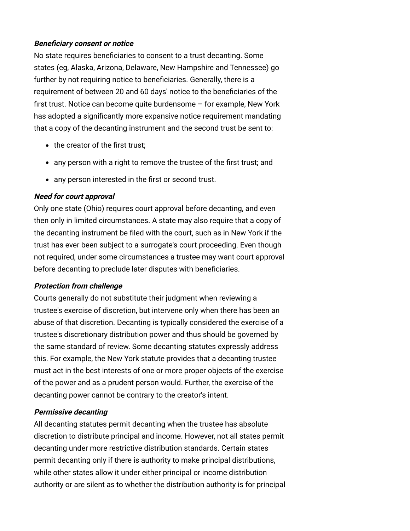## **Beneficiary consent or notice**

No state requires beneficiaries to consent to a trust decanting. Some states (eg, Alaska, Arizona, Delaware, New Hampshire and Tennessee) go further by not requiring notice to beneficiaries. Generally, there is a requirement of between 20 and 60 days' notice to the beneficiaries of the first trust. Notice can become quite burdensome – for example, New York has adopted a significantly more expansive notice requirement mandating that a copy of the decanting instrument and the second trust be sent to:

- the creator of the first trust:
- any person with a right to remove the trustee of the first trust; and
- any person interested in the first or second trust.

# **Need for court approval**

Only one state (Ohio) requires court approval before decanting, and even then only in limited circumstances. A state may also require that a copy of the decanting instrument be filed with the court, such as in New York if the trust has ever been subject to a surrogate's court proceeding. Even though not required, under some circumstances a trustee may want court approval before decanting to preclude later disputes with beneficiaries.

# **Protection from challenge**

Courts generally do not substitute their judgment when reviewing a trustee's exercise of discretion, but intervene only when there has been an abuse of that discretion. Decanting is typically considered the exercise of a trustee's discretionary distribution power and thus should be governed by the same standard of review. Some decanting statutes expressly address this. For example, the New York statute provides that a decanting trustee must act in the best interests of one or more proper objects of the exercise of the power and as a prudent person would. Further, the exercise of the decanting power cannot be contrary to the creator's intent.

# **Permissive decanting**

All decanting statutes permit decanting when the trustee has absolute discretion to distribute principal and income. However, not all states permit decanting under more restrictive distribution standards. Certain states permit decanting only if there is authority to make principal distributions, while other states allow it under either principal or income distribution authority or are silent as to whether the distribution authority is for principal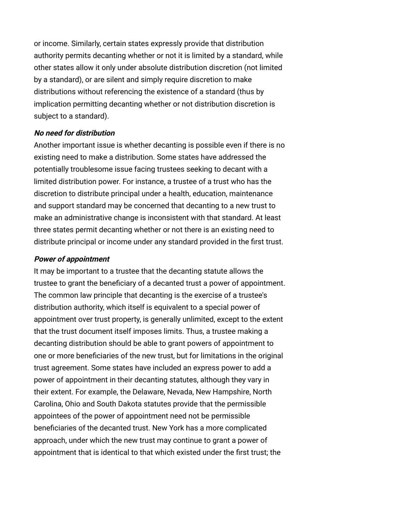or income. Similarly, certain states expressly provide that distribution authority permits decanting whether or not it is limited by a standard, while other states allow it only under absolute distribution discretion (not limited by a standard), or are silent and simply require discretion to make distributions without referencing the existence of a standard (thus by implication permitting decanting whether or not distribution discretion is subject to a standard).

## **No need for distribution**

Another important issue is whether decanting is possible even if there is no existing need to make a distribution. Some states have addressed the potentially troublesome issue facing trustees seeking to decant with a limited distribution power. For instance, a trustee of a trust who has the discretion to distribute principal under a health, education, maintenance and support standard may be concerned that decanting to a new trust to make an administrative change is inconsistent with that standard. At least three states permit decanting whether or not there is an existing need to distribute principal or income under any standard provided in the first trust.

#### **Power of appointment**

It may be important to a trustee that the decanting statute allows the trustee to grant the beneficiary of a decanted trust a power of appointment. The common law principle that decanting is the exercise of a trustee's distribution authority, which itself is equivalent to a special power of appointment over trust property, is generally unlimited, except to the extent that the trust document itself imposes limits. Thus, a trustee making a decanting distribution should be able to grant powers of appointment to one or more beneficiaries of the new trust, but for limitations in the original trust agreement. Some states have included an express power to add a power of appointment in their decanting statutes, although they vary in their extent. For example, the Delaware, Nevada, New Hampshire, North Carolina, Ohio and South Dakota statutes provide that the permissible appointees of the power of appointment need not be permissible beneficiaries of the decanted trust. New York has a more complicated approach, under which the new trust may continue to grant a power of appointment that is identical to that which existed under the first trust; the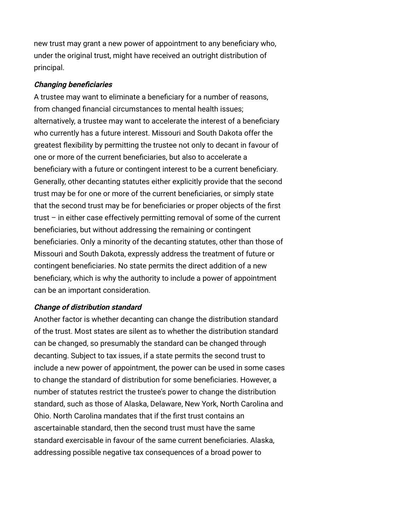new trust may grant a new power of appointment to any beneficiary who, under the original trust, might have received an outright distribution of principal.

#### **Changing beneficiaries**

A trustee may want to eliminate a beneficiary for a number of reasons, from changed financial circumstances to mental health issues; alternatively, a trustee may want to accelerate the interest of a beneficiary who currently has a future interest. Missouri and South Dakota offer the greatest flexibility by permitting the trustee not only to decant in favour of one or more of the current beneficiaries, but also to accelerate a beneficiary with a future or contingent interest to be a current beneficiary. Generally, other decanting statutes either explicitly provide that the second trust may be for one or more of the current beneficiaries, or simply state that the second trust may be for beneficiaries or proper objects of the first trust – in either case effectively permitting removal of some of the current beneficiaries, but without addressing the remaining or contingent beneficiaries. Only a minority of the decanting statutes, other than those of Missouri and South Dakota, expressly address the treatment of future or contingent beneficiaries. No state permits the direct addition of a new beneficiary, which is why the authority to include a power of appointment can be an important consideration.

#### **Change of distribution standard**

Another factor is whether decanting can change the distribution standard of the trust. Most states are silent as to whether the distribution standard can be changed, so presumably the standard can be changed through decanting. Subject to tax issues, if a state permits the second trust to include a new power of appointment, the power can be used in some cases to change the standard of distribution for some beneficiaries. However, a number of statutes restrict the trustee's power to change the distribution standard, such as those of Alaska, Delaware, New York, North Carolina and Ohio. North Carolina mandates that if the first trust contains an ascertainable standard, then the second trust must have the same standard exercisable in favour of the same current beneficiaries. Alaska, addressing possible negative tax consequences of a broad power to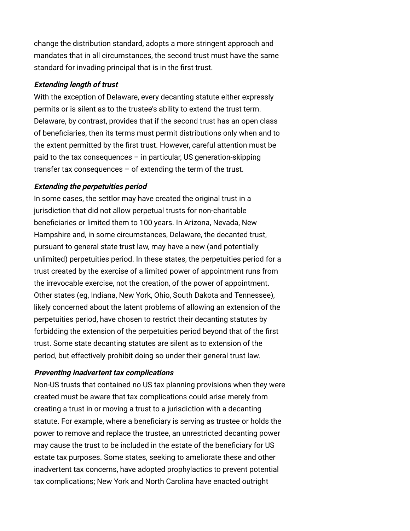change the distribution standard, adopts a more stringent approach and mandates that in all circumstances, the second trust must have the same standard for invading principal that is in the first trust.

#### **Extending length of trust**

With the exception of Delaware, every decanting statute either expressly permits or is silent as to the trustee's ability to extend the trust term. Delaware, by contrast, provides that if the second trust has an open class of beneficiaries, then its terms must permit distributions only when and to the extent permitted by the first trust. However, careful attention must be paid to the tax consequences – in particular, US generation-skipping transfer tax consequences  $-$  of extending the term of the trust.

## **Extending the perpetuities period**

In some cases, the settlor may have created the original trust in a jurisdiction that did not allow perpetual trusts for non-charitable beneficiaries or limited them to 100 years. In Arizona, Nevada, New Hampshire and, in some circumstances, Delaware, the decanted trust, pursuant to general state trust law, may have a new (and potentially unlimited) perpetuities period. In these states, the perpetuities period for a trust created by the exercise of a limited power of appointment runs from the irrevocable exercise, not the creation, of the power of appointment. Other states (eg, Indiana, New York, Ohio, South Dakota and Tennessee), likely concerned about the latent problems of allowing an extension of the perpetuities period, have chosen to restrict their decanting statutes by forbidding the extension of the perpetuities period beyond that of the first trust. Some state decanting statutes are silent as to extension of the period, but effectively prohibit doing so under their general trust law.

#### **Preventing inadvertent tax complications**

Non-US trusts that contained no US tax planning provisions when they were created must be aware that tax complications could arise merely from creating a trust in or moving a trust to a jurisdiction with a decanting statute. For example, where a beneficiary is serving as trustee or holds the power to remove and replace the trustee, an unrestricted decanting power may cause the trust to be included in the estate of the beneficiary for US estate tax purposes. Some states, seeking to ameliorate these and other inadvertent tax concerns, have adopted prophylactics to prevent potential tax complications; New York and North Carolina have enacted outright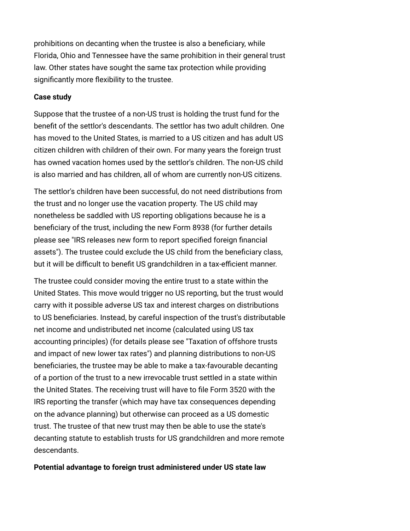prohibitions on decanting when the trustee is also a beneficiary, while Florida, Ohio and Tennessee have the same prohibition in their general trust law. Other states have sought the same tax protection while providing significantly more flexibility to the trustee.

## <span id="page-7-0"></span>**Case study**

Suppose that the trustee of a non-US trust is holding the trust fund for the benefit of the settlor's descendants. The settlor has two adult children. One has moved to the United States, is married to a US citizen and has adult US citizen children with children of their own. For many years the foreign trust has owned vacation homes used by the settlor's children. The non-US child is also married and has children, all of whom are currently non-US citizens.

The settlor's children have been successful, do not need distributions from the trust and no longer use the vacation property. The US child may nonetheless be saddled with US reporting obligations because he is a beneficiary of the trust, including the new Form 8938 (for further details [please see "IRS releases new form to report specified foreign financial](http://www.internationallawoffice.com/newsletters/Detail.aspx?g=1da9dd2f-7552-4f5f-a90b-ede05a3bc18a) assets"). The trustee could exclude the US child from the beneficiary class, but it will be difficult to benefit US grandchildren in a tax-efficient manner.

The trustee could consider moving the entire trust to a state within the United States. This move would trigger no US reporting, but the trust would carry with it possible adverse US tax and interest charges on distributions to US beneficiaries. Instead, by careful inspection of the trust's distributable net income and undistributed net income (calculated using US tax [accounting principles\) \(for details please see "Taxation of offshore trusts](http://www.internationallawoffice.com/Newsletters/Detail.aspx?g=fa09696c-86d8-4011-bfb3-ba66bf73c584) and impact of new lower tax rates") and planning distributions to non-US beneficiaries, the trustee may be able to make a tax-favourable decanting of a portion of the trust to a new irrevocable trust settled in a state within the United States. The receiving trust will have to file Form 3520 with the IRS reporting the transfer (which may have tax consequences depending on the advance planning) but otherwise can proceed as a US domestic trust. The trustee of that new trust may then be able to use the state's decanting statute to establish trusts for US grandchildren and more remote descendants.

## <span id="page-7-1"></span>**Potential advantage to foreign trust administered under US state law**